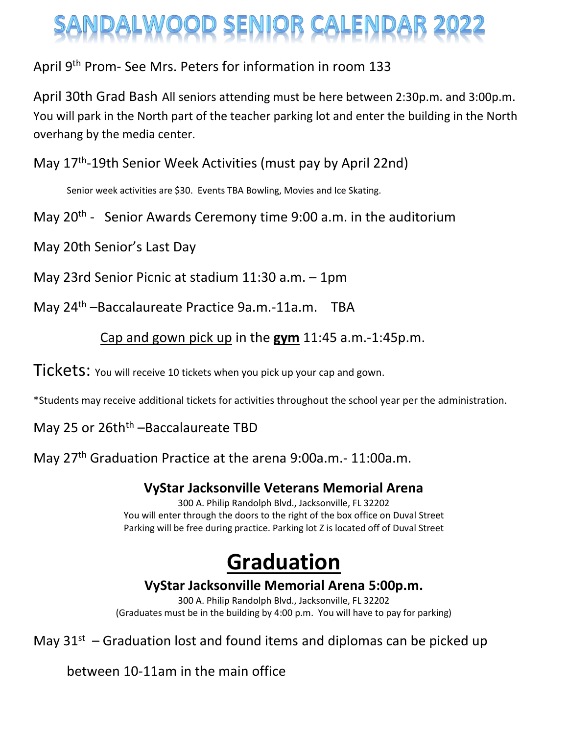# IDALWOOD SENIOR CALENDAR 2

## April 9<sup>th</sup> Prom- See Mrs. Peters for information in room 133

April 30th Grad Bash All seniors attending must be here between 2:30p.m. and 3:00p.m. You will park in the North part of the teacher parking lot and enter the building in the North overhang by the media center.

May 17<sup>th</sup>-19th Senior Week Activities (must pay by April 22nd)

Senior week activities are \$30. Events TBA Bowling, Movies and Ice Skating.

May 20<sup>th</sup> - Senior Awards Ceremony time 9:00 a.m. in the auditorium

May 20th Senior's Last Day

May 23rd Senior Picnic at stadium 11:30 a.m. – 1pm

May 24<sup>th</sup> –Baccalaureate Practice 9a.m.-11a.m. TBA

## Cap and gown pick up in the **gym** 11:45 a.m.-1:45p.m.

**Tickets:** You will receive 10 tickets when you pick up your cap and gown.

\*Students may receive additional tickets for activities throughout the school year per the administration.

May 25 or 26th<sup>th</sup> –Baccalaureate TBD

May 27<sup>th</sup> Graduation Practice at the arena 9:00a.m.- 11:00a.m.

### **VyStar Jacksonville Veterans Memorial Arena**

300 A. Philip Randolph Blvd., Jacksonville, FL 32202 You will enter through the doors to the right of the box office on Duval Street Parking will be free during practice. Parking lot Z is located off of Duval Street

## **Graduation**

**VyStar Jacksonville Memorial Arena 5:00p.m.**

300 A. Philip Randolph Blvd., Jacksonville, FL 32202 (Graduates must be in the building by 4:00 p.m. You will have to pay for parking)

May  $31^{st}$  – Graduation lost and found items and diplomas can be picked up

between 10-11am in the main office